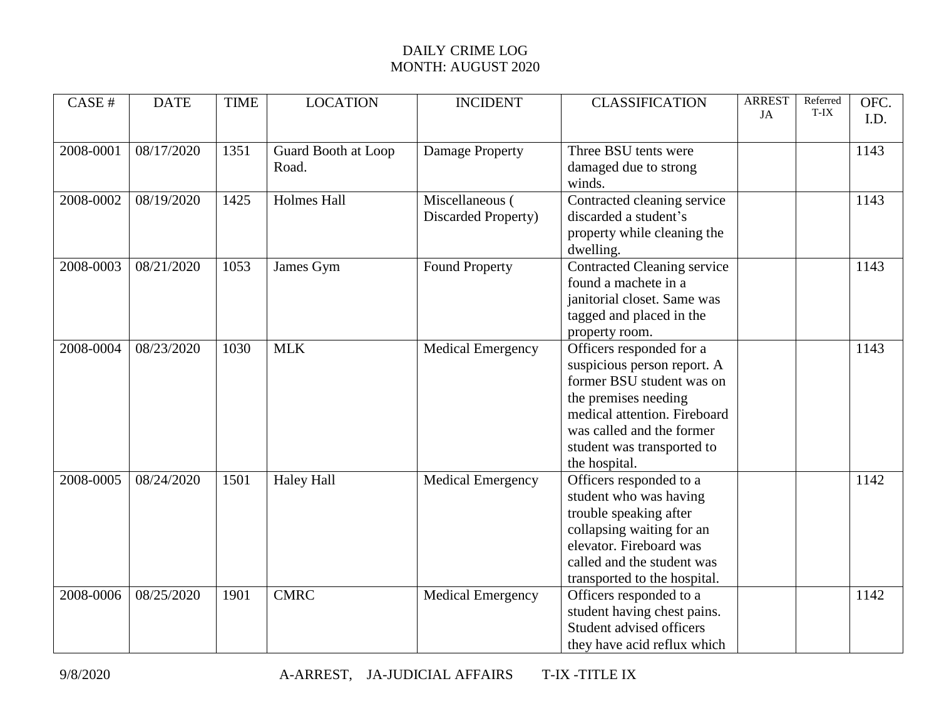## DAILY CRIME LOG MONTH: AUGUST 2020

| CASE #    | <b>DATE</b> | <b>TIME</b> | <b>LOCATION</b>              | <b>INCIDENT</b>                        | <b>CLASSIFICATION</b>                                                                                                                                                                                                    | <b>ARREST</b><br>JA | Referred<br>T-IX | OFC.<br>I.D. |
|-----------|-------------|-------------|------------------------------|----------------------------------------|--------------------------------------------------------------------------------------------------------------------------------------------------------------------------------------------------------------------------|---------------------|------------------|--------------|
| 2008-0001 | 08/17/2020  | 1351        | Guard Booth at Loop<br>Road. | <b>Damage Property</b>                 | Three BSU tents were<br>damaged due to strong<br>winds.                                                                                                                                                                  |                     |                  | 1143         |
| 2008-0002 | 08/19/2020  | 1425        | <b>Holmes Hall</b>           | Miscellaneous (<br>Discarded Property) | Contracted cleaning service<br>discarded a student's<br>property while cleaning the<br>dwelling.                                                                                                                         |                     |                  | 1143         |
| 2008-0003 | 08/21/2020  | 1053        | James Gym                    | <b>Found Property</b>                  | Contracted Cleaning service<br>found a machete in a<br>janitorial closet. Same was<br>tagged and placed in the<br>property room.                                                                                         |                     |                  | 1143         |
| 2008-0004 | 08/23/2020  | 1030        | <b>MLK</b>                   | <b>Medical Emergency</b>               | Officers responded for a<br>suspicious person report. A<br>former BSU student was on<br>the premises needing<br>medical attention. Fireboard<br>was called and the former<br>student was transported to<br>the hospital. |                     |                  | 1143         |
| 2008-0005 | 08/24/2020  | 1501        | <b>Haley Hall</b>            | Medical Emergency                      | Officers responded to a<br>student who was having<br>trouble speaking after<br>collapsing waiting for an<br>elevator. Fireboard was<br>called and the student was<br>transported to the hospital.                        |                     |                  | 1142         |
| 2008-0006 | 08/25/2020  | 1901        | <b>CMRC</b>                  | <b>Medical Emergency</b>               | Officers responded to a<br>student having chest pains.<br>Student advised officers<br>they have acid reflux which                                                                                                        |                     |                  | 1142         |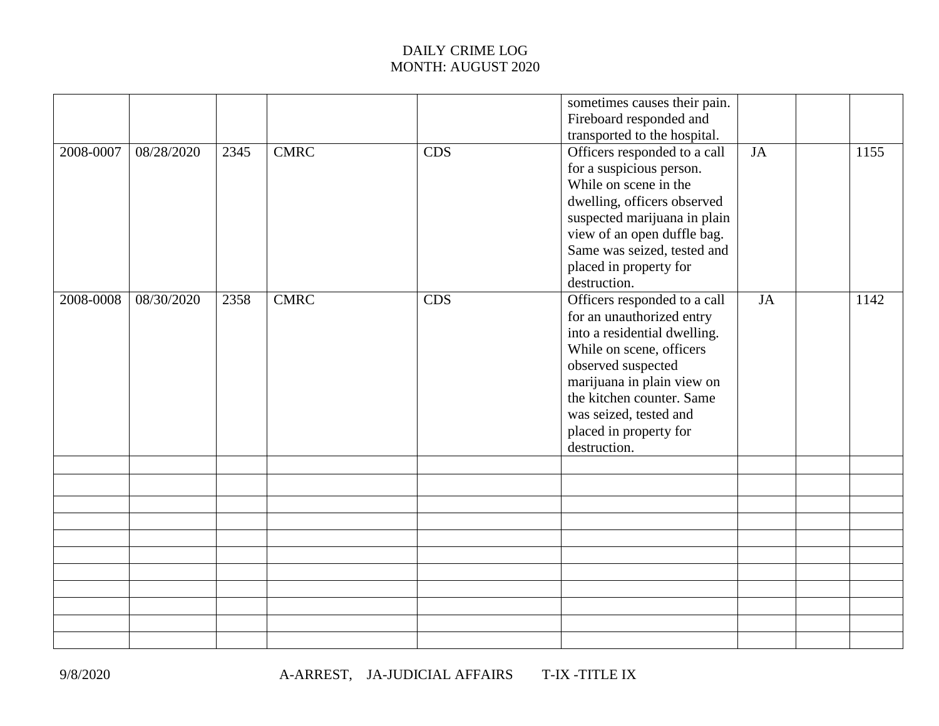## DAILY CRIME LOG MONTH: AUGUST 2020

|           |            |      |             |            | sometimes causes their pain.<br>Fireboard responded and<br>transported to the hospital.                                                                                                                                                                                    |    |      |
|-----------|------------|------|-------------|------------|----------------------------------------------------------------------------------------------------------------------------------------------------------------------------------------------------------------------------------------------------------------------------|----|------|
| 2008-0007 | 08/28/2020 | 2345 | <b>CMRC</b> | <b>CDS</b> | Officers responded to a call<br>for a suspicious person.<br>While on scene in the<br>dwelling, officers observed<br>suspected marijuana in plain<br>view of an open duffle bag.<br>Same was seized, tested and<br>placed in property for<br>destruction.                   | JA | 1155 |
| 2008-0008 | 08/30/2020 | 2358 | <b>CMRC</b> | <b>CDS</b> | Officers responded to a call<br>for an unauthorized entry<br>into a residential dwelling.<br>While on scene, officers<br>observed suspected<br>marijuana in plain view on<br>the kitchen counter. Same<br>was seized, tested and<br>placed in property for<br>destruction. | JA | 1142 |
|           |            |      |             |            |                                                                                                                                                                                                                                                                            |    |      |
|           |            |      |             |            |                                                                                                                                                                                                                                                                            |    |      |
|           |            |      |             |            |                                                                                                                                                                                                                                                                            |    |      |
|           |            |      |             |            |                                                                                                                                                                                                                                                                            |    |      |
|           |            |      |             |            |                                                                                                                                                                                                                                                                            |    |      |
|           |            |      |             |            |                                                                                                                                                                                                                                                                            |    |      |
|           |            |      |             |            |                                                                                                                                                                                                                                                                            |    |      |
|           |            |      |             |            |                                                                                                                                                                                                                                                                            |    |      |
|           |            |      |             |            |                                                                                                                                                                                                                                                                            |    |      |
|           |            |      |             |            |                                                                                                                                                                                                                                                                            |    |      |